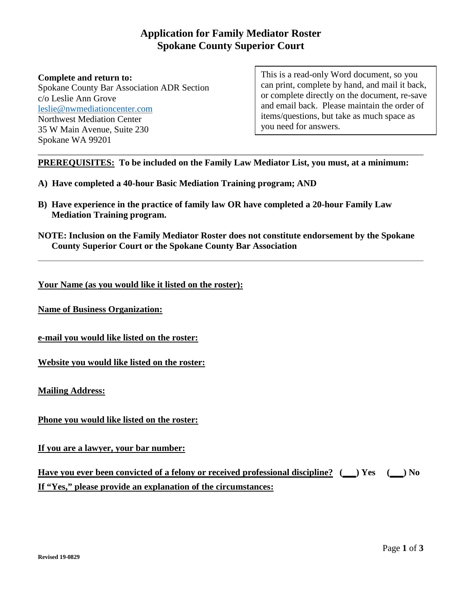# **Application for Family Mediator Roster Spokane County Superior Court**

#### **Complete and return to:** Spokane County Bar Association ADR Section c/o Leslie Ann Grove [leslie@nwmediationcenter.com](mailto:leslie@nwmediationcenter.com) Northwest Mediation Center 35 W Main Avenue, Suite 230 Spokane WA 99201

This is a read-only Word document, so you can print, complete by hand, and mail it back, or complete directly on the document, re-save and email back. Please maintain the order of items/questions, but take as much space as you need for answers.

**PREREQUISITES: To be included on the Family Law Mediator List, you must, at a minimum:**

- **A) Have completed a 40-hour Basic Mediation Training program; AND**
- **B) Have experience in the practice of family law OR have completed a 20-hour Family Law Mediation Training program.**
- **NOTE: Inclusion on the Family Mediator Roster does not constitute endorsement by the Spokane County Superior Court or the Spokane County Bar Association**

**Your Name (as you would like it listed on the roster):** 

**Name of Business Organization:**

**e-mail you would like listed on the roster:**

**Website you would like listed on the roster:**

**Mailing Address:** 

**Phone you would like listed on the roster:** 

**If you are a lawyer, your bar number:** 

**Have you ever been convicted of a felony or received professional discipline? (\_\_\_) Yes (\_\_\_) No If "Yes," please provide an explanation of the circumstances:**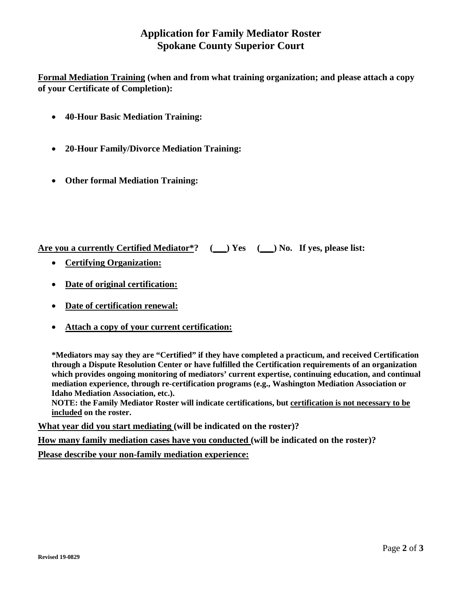# **Application for Family Mediator Roster Spokane County Superior Court**

**Formal Mediation Training (when and from what training organization; and please attach a copy of your Certificate of Completion):**

- **40-Hour Basic Mediation Training:**
- **20-Hour Family/Divorce Mediation Training:**
- **Other formal Mediation Training:**

**Are you a currently Certified Mediator\*? (\_\_\_) Yes (\_\_\_) No. If yes, please list:**

- **Certifying Organization:**
- **Date of original certification:**
- **Date of certification renewal:**
- **Attach a copy of your current certification:**

**\*Mediators may say they are "Certified" if they have completed a practicum, and received Certification through a Dispute Resolution Center or have fulfilled the Certification requirements of an organization which provides ongoing monitoring of mediators' current expertise, continuing education, and continual mediation experience, through re-certification programs (e.g., Washington Mediation Association or Idaho Mediation Association, etc.).** 

**NOTE: the Family Mediator Roster will indicate certifications, but certification is not necessary to be included on the roster.**

**What year did you start mediating (will be indicated on the roster)?**

**How many family mediation cases have you conducted (will be indicated on the roster)?**

**Please describe your non-family mediation experience:**